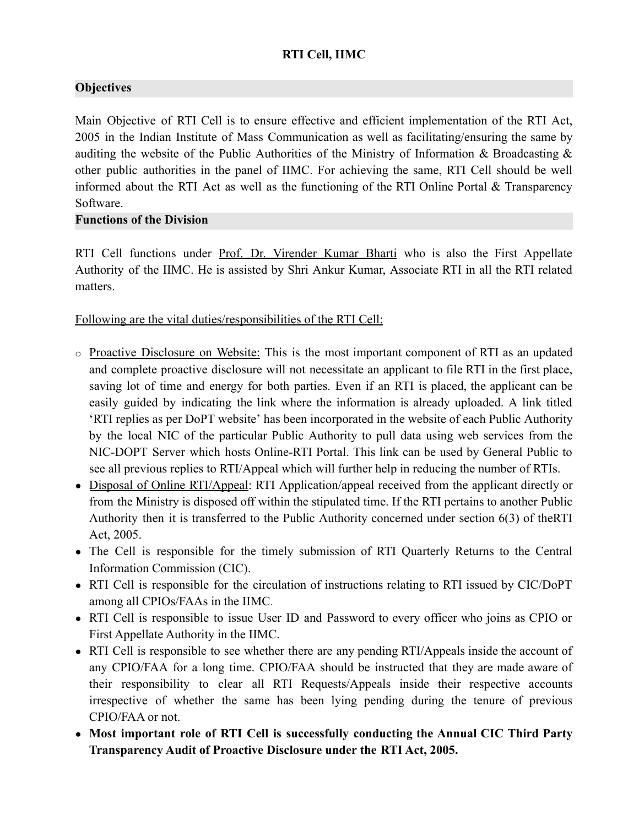# **RTI Cell, IIMC**

# **Objectives**

Main Objective of RTI Cell is to ensure effective and efficient implementation of the RTI Act, 2005 in the Indian Institute of Mass Communication as well as facilitating/ensuring the same by auditing the website of the Public Authorities of the Ministry of Information & Broadcasting & other public authorities in the panel of IIMC. For achieving the same, RTI Cell should be well informed about the RTI Act as well as the functioning of the RTI Online Portal & Transparency Software.

#### **Functions of the Division**

RTI Cell functions under Prof. Dr. Virender Kumar Bharti who is also the First Appellate Authority of the IIMC. He is assisted by Shri Ankur Kumar, Associate RTI in all the RTI related matters.

## Following are the vital duties/responsibilities of the RTI Cell:

- o Proactive Disclosure on Website: This is the most important component of RTI as an updated and complete proactive disclosure will not necessitate an applicant to file RTI in the first place, saving lot of time and energy for both parties. Even if an RTI is placed, the applicant can be easily guided by indicating the link where the information is already uploaded. A link titled 'RTI replies as per DoPT website' has been incorporated in the website of each Public Authority by the local NIC of the particular Public Authority to pull data using web services from the NIC-DOPT Server which hosts Online-RTI Portal. This link can be used by General Public to see all previous replies to RTI/Appeal which will further help in reducing the number of RTIs.
- Disposal of Online RTI/Appeal: RTI Application/appeal received from the applicant directly or from the Ministry is disposed off within the stipulated time. If the RTI pertains to another Public Authority then it is transferred to the Public Authority concerned under section 6(3) of theRTI Act, 2005.
- The Cell is responsible for the timely submission of RTI Quarterly Returns to the Central Information Commission (CIC).
- RTI Cell is responsible for the circulation of instructions relating to RTI issued by CIC/DoPT among all CPIOs/FAAs in the IIMC.
- RTI Cell is responsible to issue User ID and Password to every officer who joins as CPIO or First Appellate Authority in the IIMC.
- RTI Cell is responsible to see whether there are any pending RTI/Appeals inside the account of any CPIO/FAA for a long time. CPIO/FAA should be instructed that they are made aware of their responsibility to clear all RTI Requests/Appeals inside their respective accounts irrespective of whether the same has been lying pending during the tenure of previous CPIO/FAA or not.
- **● Most important role of RTI Cell is successfully conducting the Annual CIC Third Party Transparency Audit of Proactive Disclosure under the RTI Act, 2005.**